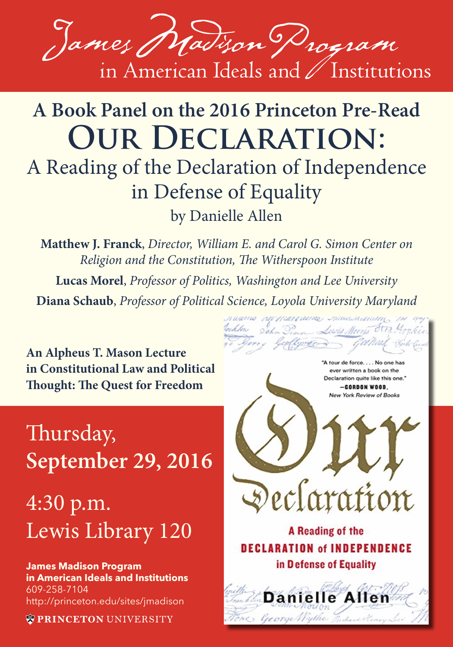

## **A Book Panel on the 2016 Princeton Pre-Read Our Declaration:** A Reading of the Declaration of Independence

in Defense of Equality by Danielle Allen

**Matthew J. Franck**, *Director, William E. and Carol G. Simon Center on Religion and the Constitution, The Witherspoon Institute* **Lucas Morel**, *Professor of Politics, Washington and Lee University* **Diana Schaub**, *Professor of Political Science, Loyola University Maryland*

Jochton John D.

**An Alpheus T. Mason Lecture in Constitutional Law and Political Thought: The Quest for Freedom**

## Thursday, **September 29, 2016**

4:30 p.m. Lewis Library 120

**James Madison Program in American Ideals and Institutions** 609-258-7104 http://princeton.edu/sites/jmadison

**WPRINCETON UNIVERSITY** 



Lewis Morris Stea. 4

лиштио претаглате этиплизиру

A Reading of the **DECLARATION of INDEPENDENCE** in Defense of Equality